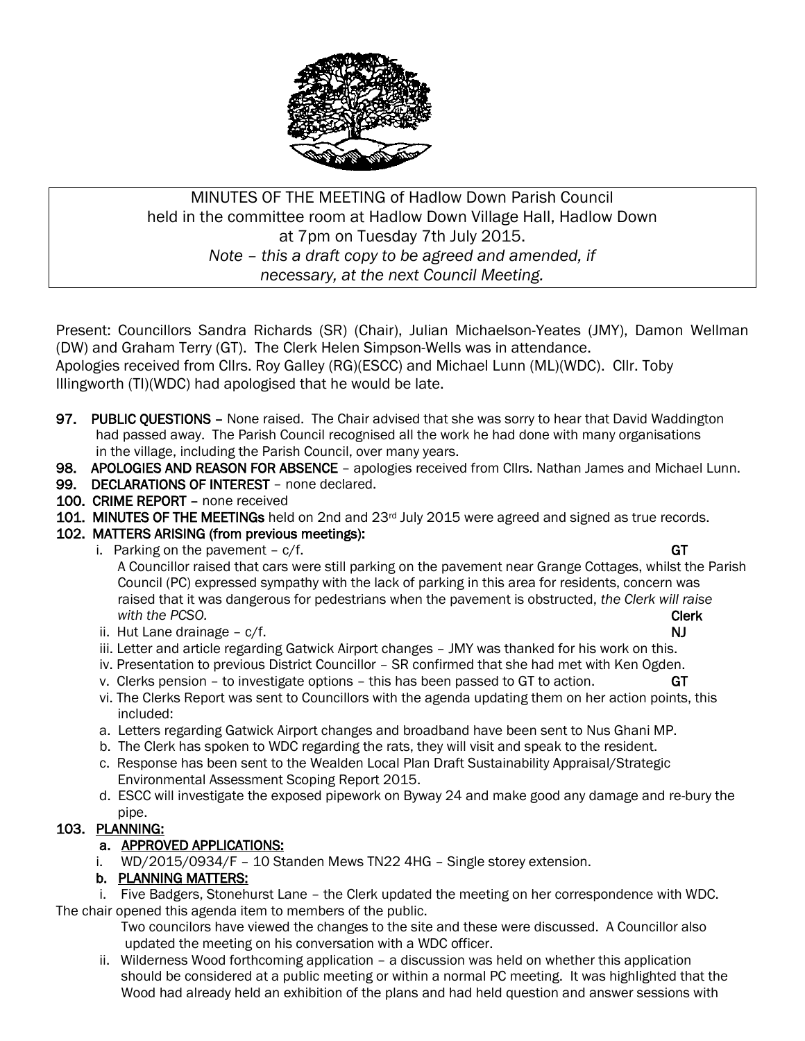

# MINUTES OF THE MEETING of Hadlow Down Parish Council held in the committee room at Hadlow Down Village Hall, Hadlow Down at 7pm on Tuesday 7th July 2015. *Note – this a draft copy to be agreed and amended, if necessary, at the next Council Meeting.*

Present: Councillors Sandra Richards (SR) (Chair), Julian Michaelson-Yeates (JMY), Damon Wellman (DW) and Graham Terry (GT). The Clerk Helen Simpson-Wells was in attendance. Apologies received from Cllrs. Roy Galley (RG)(ESCC) and Michael Lunn (ML)(WDC). Cllr. Toby Illingworth (TI)(WDC) had apologised that he would be late.

- 97. PUBLIC QUESTIONS None raised. The Chair advised that she was sorry to hear that David Waddington had passed away. The Parish Council recognised all the work he had done with many organisations in the village, including the Parish Council, over many years.
- 98. APOLOGIES AND REASON FOR ABSENCE apologies received from Cllrs. Nathan James and Michael Lunn.
- 99. DECLARATIONS OF INTEREST none declared.
- 100. CRIME REPORT none received
- 101. MINUTES OF THE MEETINGs held on 2nd and 23rd July 2015 were agreed and signed as true records.
- 102. MATTERS ARISING (from previous meetings):
	- i. Parking on the pavement  $c/f$ . GT

- A Councillor raised that cars were still parking on the pavement near Grange Cottages, whilst the Parish Council (PC) expressed sympathy with the lack of parking in this area for residents, concern was raised that it was dangerous for pedestrians when the pavement is obstructed, *the Clerk will raise with the PCSO.* **Clerk**
- ii. Hut Lane drainage c/f.  $\blacksquare$
- iii. Letter and article regarding Gatwick Airport changes JMY was thanked for his work on this.
- iv. Presentation to previous District Councillor SR confirmed that she had met with Ken Ogden.
- v. Clerks pension to investigate options this has been passed to GT to action.  $GT$
- vi. The Clerks Report was sent to Councillors with the agenda updating them on her action points, this included:
- a. Letters regarding Gatwick Airport changes and broadband have been sent to Nus Ghani MP.
- b. The Clerk has spoken to WDC regarding the rats, they will visit and speak to the resident.
- c. Response has been sent to the Wealden Local Plan Draft Sustainability Appraisal/Strategic Environmental Assessment Scoping Report 2015.
- d. ESCC will investigate the exposed pipework on Byway 24 and make good any damage and re-bury the pipe.

# 103. PLANNING:

## a. APPROVED APPLICATIONS:

i. WD/2015/0934/F – 10 Standen Mews TN22 4HG – Single storey extension.

## b. PLANNING MATTERS:

 i. Five Badgers, Stonehurst Lane – the Clerk updated the meeting on her correspondence with WDC. The chair opened this agenda item to members of the public.

 Two councilors have viewed the changes to the site and these were discussed. A Councillor also updated the meeting on his conversation with a WDC officer.

 ii. Wilderness Wood forthcoming application – a discussion was held on whether this application should be considered at a public meeting or within a normal PC meeting. It was highlighted that the Wood had already held an exhibition of the plans and had held question and answer sessions with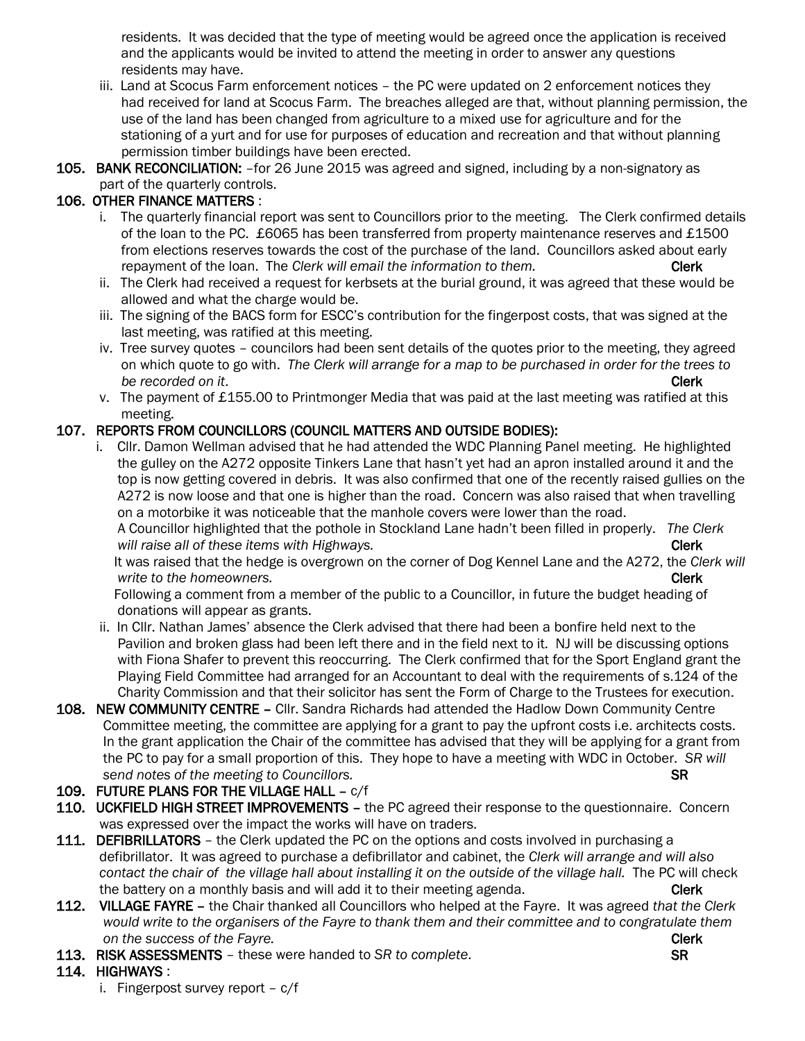residents. It was decided that the type of meeting would be agreed once the application is received and the applicants would be invited to attend the meeting in order to answer any questions residents may have.

- iii. Land at Scocus Farm enforcement notices the PC were updated on 2 enforcement notices they had received for land at Scocus Farm. The breaches alleged are that, without planning permission, the use of the land has been changed from agriculture to a mixed use for agriculture and for the stationing of a yurt and for use for purposes of education and recreation and that without planning permission timber buildings have been erected.
- 105. BANK RECONCILIATION: -for 26 June 2015 was agreed and signed, including by a non-signatory as part of the quarterly controls.

## 106. OTHER FINANCE MATTERS :

- i. The quarterly financial report was sent to Councillors prior to the meeting. The Clerk confirmed details of the loan to the PC. £6065 has been transferred from property maintenance reserves and £1500 from elections reserves towards the cost of the purchase of the land. Councillors asked about early repayment of the loan. The *Clerk will email the information to them.* Clerk
- ii. The Clerk had received a request for kerbsets at the burial ground, it was agreed that these would be allowed and what the charge would be.
- iii. The signing of the BACS form for ESCC's contribution for the fingerpost costs, that was signed at the last meeting, was ratified at this meeting.
- iv. Tree survey quotes councilors had been sent details of the quotes prior to the meeting, they agreed on which quote to go with. *The Clerk will arrange for a map to be purchased in order for the trees to be recorded on it. Clerk*
- v. The payment of £155.00 to Printmonger Media that was paid at the last meeting was ratified at this meeting.

## 107. REPORTS FROM COUNCILLORS (COUNCIL MATTERS AND OUTSIDE BODIES):

 i. Cllr. Damon Wellman advised that he had attended the WDC Planning Panel meeting. He highlighted the gulley on the A272 opposite Tinkers Lane that hasn't yet had an apron installed around it and the top is now getting covered in debris. It was also confirmed that one of the recently raised gullies on the A272 is now loose and that one is higher than the road. Concern was also raised that when travelling on a motorbike it was noticeable that the manhole covers were lower than the road. A Councillor highlighted that the pothole in Stockland Lane hadn't been filled in properly. *The Clerk*

*will raise all of these items with Highways.* The same of the same of the same of the Clerk

 It was raised that the hedge is overgrown on the corner of Dog Kennel Lane and the A272, the *Clerk will write to the homeowners.* Clerk and the set of the set of the set of the set of the set of the set of the set of the set of the set of the set of the set of the set of the set of the set of the set of the set of the set

 Following a comment from a member of the public to a Councillor, in future the budget heading of donations will appear as grants.

- ii. In Cllr. Nathan James' absence the Clerk advised that there had been a bonfire held next to the Pavilion and broken glass had been left there and in the field next to it. NJ will be discussing options with Fiona Shafer to prevent this reoccurring. The Clerk confirmed that for the Sport England grant the Playing Field Committee had arranged for an Accountant to deal with the requirements of s.124 of the Charity Commission and that their solicitor has sent the Form of Charge to the Trustees for execution.
- 108. NEW COMMUNITY CENTRE Cllr. Sandra Richards had attended the Hadlow Down Community Centre Committee meeting, the committee are applying for a grant to pay the upfront costs i.e. architects costs. In the grant application the Chair of the committee has advised that they will be applying for a grant from the PC to pay for a small proportion of this. They hope to have a meeting with WDC in October. *SR will send notes of the meeting to Councillors.*  $\mathbb{R}$
- 109. FUTURE PLANS FOR THE VILLAGE HALL c/f
- 110. UCKFIELD HIGH STREET IMPROVEMENTS the PC agreed their response to the questionnaire. Concern was expressed over the impact the works will have on traders.
- 111. DEFIBRILLATORS the Clerk updated the PC on the options and costs involved in purchasing a defibrillator. It was agreed to purchase a defibrillator and cabinet, the *Clerk will arrange and will also contact the chair of the village hall about installing it on the outside of the village hall.* The PC will check the battery on a monthly basis and will add it to their meeting agenda. Clerk
- 112. VILLAGE FAYRE the Chair thanked all Councillors who helped at the Fayre. It was agreed *that the Clerk would write to the organisers of the Fayre to thank them and their committee and to congratulate them a on the success of the Fayre.* Clerk
- 113. RISK ASSESSMENTS these were handed to *SR to complete*. SR

## 114. HIGHWAYS :

i. Fingerpost survey report – c/f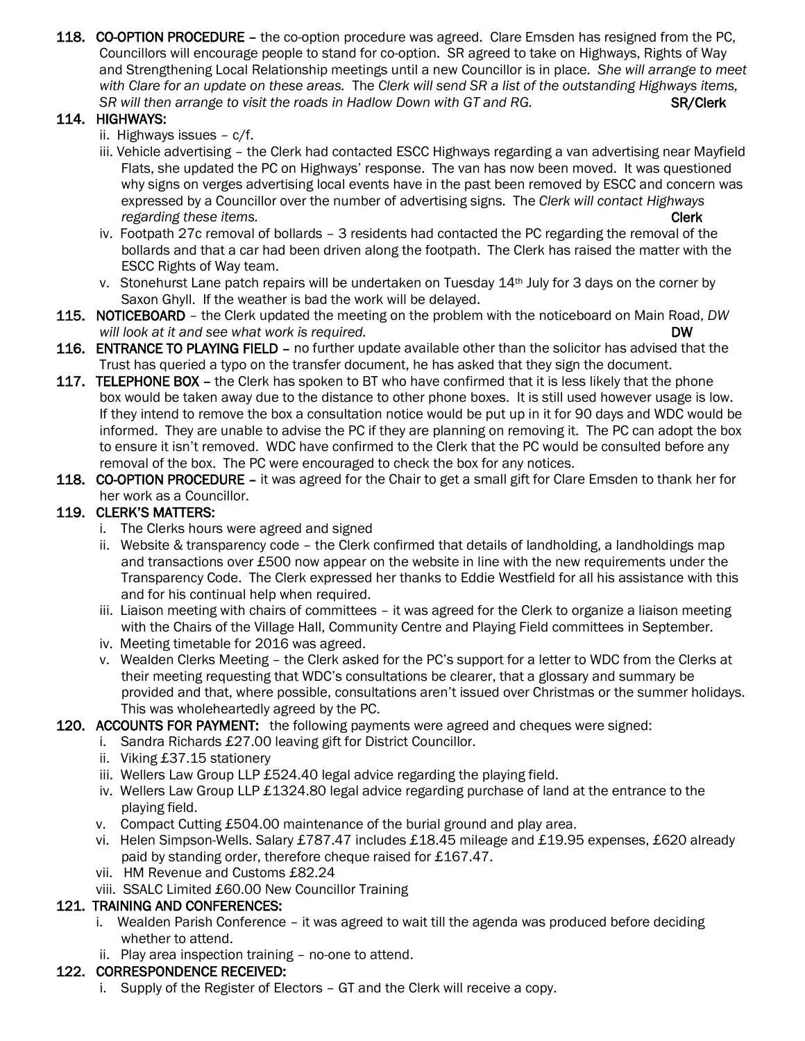118. CO-OPTION PROCEDURE – the co-option procedure was agreed. Clare Emsden has resigned from the PC, Councillors will encourage people to stand for co-option. SR agreed to take on Highways, Rights of Way and Strengthening Local Relationship meetings until a new Councillor is in place. *She will arrange to meet with Clare for an update on these areas.* The *Clerk will send SR a list of the outstanding Highways items,*  SR will then arrange to visit the roads in Hadlow Down with GT and RG. **SR/Clerk** 

# 114. HIGHWAYS:

- ii. Highways issues c/f.
- iii. Vehicle advertising the Clerk had contacted ESCC Highways regarding a van advertising near Mayfield Flats, she updated the PC on Highways' response. The van has now been moved. It was questioned why signs on verges advertising local events have in the past been removed by ESCC and concern was expressed by a Councillor over the number of advertising signs. The *Clerk will contact Highways regarding these items.* Clerk and the set of the set of the set of the set of the set of the set of the set of the set of the set of the set of the set of the set of the set of the set of the set of the set of the set o
- iv. Footpath 27c removal of bollards 3 residents had contacted the PC regarding the removal of the bollards and that a car had been driven along the footpath. The Clerk has raised the matter with the ESCC Rights of Way team.
- v. Stonehurst Lane patch repairs will be undertaken on Tuesday 14<sup>th</sup> July for 3 days on the corner by Saxon Ghyll. If the weather is bad the work will be delayed.
- 115. NOTICEBOARD the Clerk updated the meeting on the problem with the noticeboard on Main Road, *DW will look at it and see what work is required.* The set of the set of the set of the DW **DW**
- 116. ENTRANCE TO PLAYING FIELD no further update available other than the solicitor has advised that the Trust has queried a typo on the transfer document, he has asked that they sign the document.
- 117. TELEPHONE BOX the Clerk has spoken to BT who have confirmed that it is less likely that the phone box would be taken away due to the distance to other phone boxes. It is still used however usage is low. If they intend to remove the box a consultation notice would be put up in it for 90 days and WDC would be informed. They are unable to advise the PC if they are planning on removing it. The PC can adopt the box to ensure it isn't removed. WDC have confirmed to the Clerk that the PC would be consulted before any removal of the box. The PC were encouraged to check the box for any notices.
- 118. CO-OPTION PROCEDURE it was agreed for the Chair to get a small gift for Clare Emsden to thank her for her work as a Councillor.

# 119. CLERK'S MATTERS:

- i. The Clerks hours were agreed and signed
- ii. Website & transparency code the Clerk confirmed that details of landholding, a landholdings map and transactions over £500 now appear on the website in line with the new requirements under the Transparency Code. The Clerk expressed her thanks to Eddie Westfield for all his assistance with this and for his continual help when required.
- iii. Liaison meeting with chairs of committees it was agreed for the Clerk to organize a liaison meeting with the Chairs of the Village Hall, Community Centre and Playing Field committees in September.
- iv. Meeting timetable for 2016 was agreed.
- v. Wealden Clerks Meeting the Clerk asked for the PC's support for a letter to WDC from the Clerks at their meeting requesting that WDC's consultations be clearer, that a glossary and summary be provided and that, where possible, consultations aren't issued over Christmas or the summer holidays. This was wholeheartedly agreed by the PC.

## 120. ACCOUNTS FOR PAYMENT: the following payments were agreed and cheques were signed:

- i. Sandra Richards £27.00 leaving gift for District Councillor.
- ii. Viking £37.15 stationery
- iii. Wellers Law Group LLP £524.40 legal advice regarding the playing field.
- iv. Wellers Law Group LLP £1324.80 legal advice regarding purchase of land at the entrance to the playing field.
- v. Compact Cutting £504.00 maintenance of the burial ground and play area.
- vi. Helen Simpson-Wells. Salary £787.47 includes £18.45 mileage and £19.95 expenses, £620 already paid by standing order, therefore cheque raised for £167.47.
- vii. HM Revenue and Customs £82.24
- viii. SSALC Limited £60.00 New Councillor Training

# 121. TRAINING AND CONFERENCES:

- i. Wealden Parish Conference it was agreed to wait till the agenda was produced before deciding whether to attend.
- ii. Play area inspection training no-one to attend.

# 122. CORRESPONDENCE RECEIVED:

i. Supply of the Register of Electors – GT and the Clerk will receive a copy.